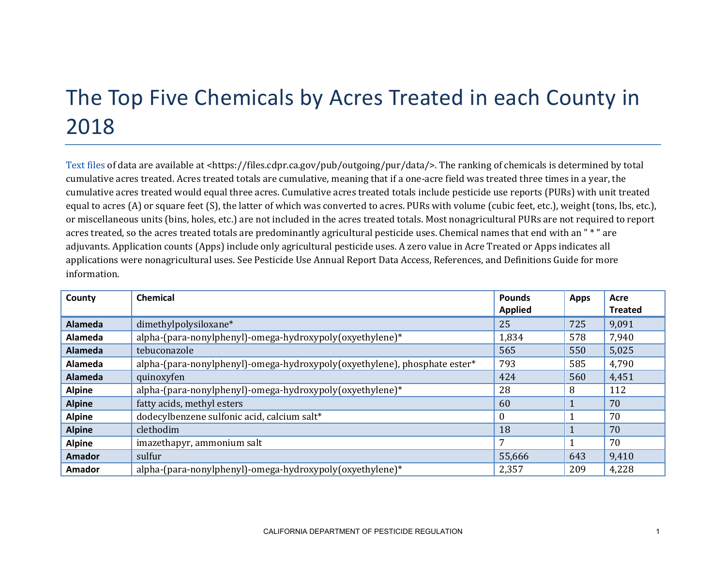## The Top Five Chemicals by Acres Treated in each County in 2018

[Text files](https://files.cdpr.ca.gov/pub/outgoing/pur/data/) of data are available at <https://files.cdpr.ca.gov/pub/outgoing/pur/data/>. The ranking of chemicals is determined by total cumulative acres treated. Acres treated totals are cumulative, meaning that if a one-acre field was treated three times in a year, the cumulative acres treated would equal three acres. Cumulative acres treated totals include pesticide use reports (PURs) with unit treated equal to acres (A) or square feet (S), the latter of which was converted to acres. PURs with volume (cubic feet, etc.), weight (tons, lbs, etc.), or miscellaneous units (bins, holes, etc.) are not included in the acres treated totals. Most nonagricultural PURs are not required to report acres treated, so the acres treated totals are predominantly agricultural pesticide uses. Chemical names that end with an " \* " are adjuvants. Application counts (Apps) include only agricultural pesticide uses. A zero value in Acre Treated or Apps indicates all applications were nonagricultural uses. See Pesticide Use Annual Report Data Access, References, and Definitions Guide for more information.

| County         | Chemical                                                                  | <b>Pounds</b>  | <b>Apps</b> | Acre           |
|----------------|---------------------------------------------------------------------------|----------------|-------------|----------------|
|                |                                                                           | <b>Applied</b> |             | <b>Treated</b> |
| <b>Alameda</b> | dimethylpolysiloxane*                                                     | 25             | 725         | 9,091          |
| Alameda        | alpha-(para-nonylphenyl)-omega-hydroxypoly(oxyethylene)*                  | 1,834          | 578         | 7,940          |
| <b>Alameda</b> | tebuconazole                                                              | 565            | 550         | 5,025          |
| Alameda        | alpha-(para-nonylphenyl)-omega-hydroxypoly(oxyethylene), phosphate ester* | 793            | 585         | 4,790          |
| <b>Alameda</b> | quinoxyfen                                                                | 424            | 560         | 4,451          |
| <b>Alpine</b>  | alpha-(para-nonylphenyl)-omega-hydroxypoly(oxyethylene)*                  | 28             | 8           | 112            |
| <b>Alpine</b>  | fatty acids, methyl esters                                                | 60             |             | 70             |
| <b>Alpine</b>  | dodecylbenzene sulfonic acid, calcium salt*                               | $\theta$       |             | 70             |
| <b>Alpine</b>  | clethodim                                                                 | 18             | ш           | 70             |
| <b>Alpine</b>  | imazethapyr, ammonium salt                                                | 7              |             | 70             |
| <b>Amador</b>  | sulfur                                                                    | 55,666         | 643         | 9,410          |
| Amador         | alpha-(para-nonylphenyl)-omega-hydroxypoly(oxyethylene)*                  | 2,357          | 209         | 4,228          |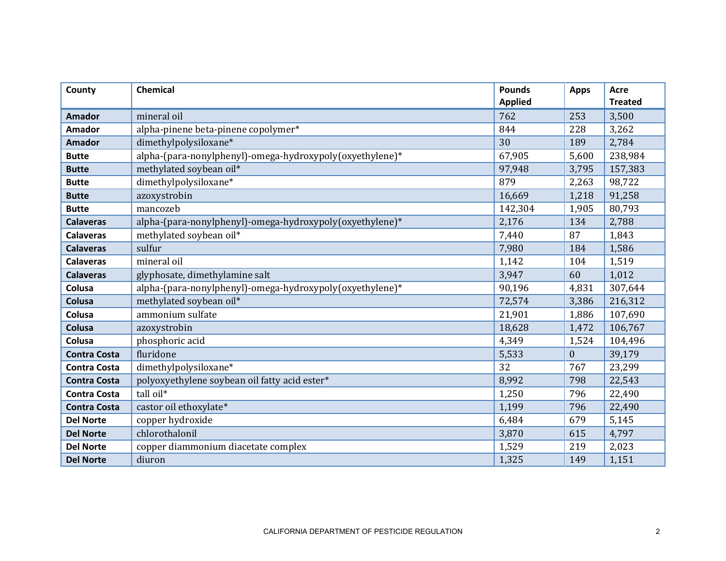| County              | <b>Chemical</b>                                          | <b>Pounds</b>  | <b>Apps</b>  | Acre<br><b>Treated</b> |
|---------------------|----------------------------------------------------------|----------------|--------------|------------------------|
|                     |                                                          | <b>Applied</b> |              |                        |
| <b>Amador</b>       | mineral oil                                              | 762            | 253          | 3,500                  |
| <b>Amador</b>       | alpha-pinene beta-pinene copolymer*                      | 844            | 228          | 3,262                  |
| <b>Amador</b>       | dimethylpolysiloxane*                                    | 30             | 189          | 2,784                  |
| <b>Butte</b>        | alpha-(para-nonylphenyl)-omega-hydroxypoly(oxyethylene)* | 67,905         | 5,600        | 238,984                |
| <b>Butte</b>        | methylated soybean oil*                                  | 97,948         | 3,795        | 157,383                |
| <b>Butte</b>        | dimethylpolysiloxane*                                    | 879            | 2,263        | 98,722                 |
| <b>Butte</b>        | azoxystrobin                                             | 16,669         | 1,218        | 91,258                 |
| <b>Butte</b>        | mancozeb                                                 | 142,304        | 1,905        | 80,793                 |
| <b>Calaveras</b>    | alpha-(para-nonylphenyl)-omega-hydroxypoly(oxyethylene)* | 2,176          | 134          | 2,788                  |
| <b>Calaveras</b>    | methylated soybean oil*                                  | 7,440          | 87           | 1,843                  |
| <b>Calaveras</b>    | sulfur                                                   | 7,980          | 184          | 1,586                  |
| <b>Calaveras</b>    | mineral oil                                              | 1,142          | 104          | 1,519                  |
| <b>Calaveras</b>    | glyphosate, dimethylamine salt                           | 3,947          | 60           | 1,012                  |
| Colusa              | alpha-(para-nonylphenyl)-omega-hydroxypoly(oxyethylene)* | 90,196         | 4,831        | 307,644                |
| Colusa              | methylated soybean oil*                                  | 72,574         | 3,386        | 216,312                |
| Colusa              | ammonium sulfate                                         | 21,901         | 1,886        | 107,690                |
| Colusa              | azoxystrobin                                             | 18,628         | 1,472        | 106,767                |
| Colusa              | phosphoric acid                                          | 4,349          | 1,524        | 104,496                |
| <b>Contra Costa</b> | fluridone                                                | 5,533          | $\mathbf{0}$ | 39,179                 |
| <b>Contra Costa</b> | dimethylpolysiloxane*                                    | 32             | 767          | 23,299                 |
| <b>Contra Costa</b> | polyoxyethylene soybean oil fatty acid ester*            | 8,992          | 798          | 22,543                 |
| <b>Contra Costa</b> | tall oil*                                                | 1,250          | 796          | 22,490                 |
| <b>Contra Costa</b> | castor oil ethoxylate*                                   | 1,199          | 796          | 22,490                 |
| <b>Del Norte</b>    | copper hydroxide                                         | 6,484          | 679          | 5,145                  |
| <b>Del Norte</b>    | chlorothalonil                                           | 3,870          | 615          | 4,797                  |
| <b>Del Norte</b>    | copper diammonium diacetate complex                      | 1,529          | 219          | 2,023                  |
| <b>Del Norte</b>    | diuron                                                   | 1,325          | 149          | 1,151                  |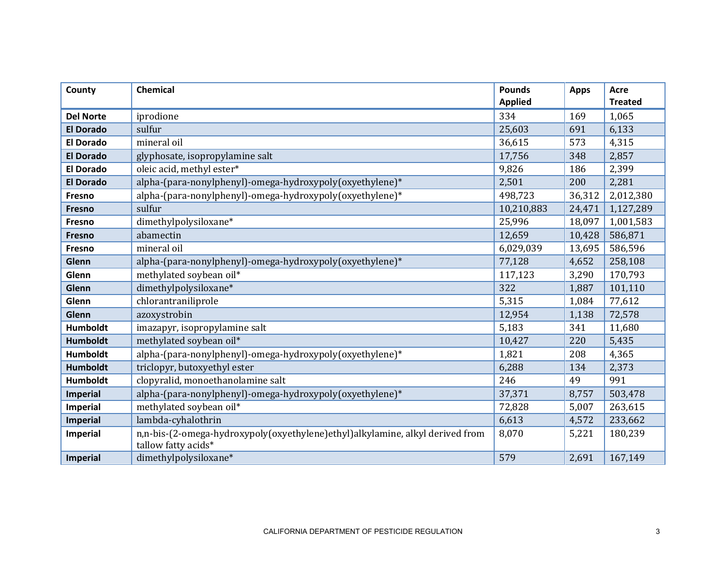| County           | <b>Chemical</b>                                                                                      | <b>Pounds</b><br><b>Applied</b> | <b>Apps</b> | <b>Acre</b><br><b>Treated</b> |
|------------------|------------------------------------------------------------------------------------------------------|---------------------------------|-------------|-------------------------------|
| <b>Del Norte</b> | iprodione                                                                                            | 334                             | 169         | 1,065                         |
| <b>El Dorado</b> | sulfur                                                                                               | 25,603                          | 691         | 6,133                         |
| <b>El Dorado</b> | mineral oil                                                                                          | 36,615                          | 573         | 4,315                         |
| <b>El Dorado</b> | glyphosate, isopropylamine salt                                                                      | 17,756                          | 348         | 2,857                         |
| <b>El Dorado</b> | oleic acid, methyl ester*                                                                            | 9,826                           | 186         | 2,399                         |
| <b>El Dorado</b> | alpha-(para-nonylphenyl)-omega-hydroxypoly(oxyethylene)*                                             | 2,501                           | 200         | 2,281                         |
| Fresno           | alpha-(para-nonylphenyl)-omega-hydroxypoly(oxyethylene)*                                             | 498,723                         | 36,312      | 2,012,380                     |
| <b>Fresno</b>    | sulfur                                                                                               | 10,210,883                      | 24,471      | 1,127,289                     |
| Fresno           | dimethylpolysiloxane*                                                                                | 25,996                          | 18,097      | 1,001,583                     |
| <b>Fresno</b>    | abamectin                                                                                            | 12,659                          | 10,428      | 586,871                       |
| Fresno           | mineral oil                                                                                          | 6,029,039                       | 13,695      | 586,596                       |
| Glenn            | alpha-(para-nonylphenyl)-omega-hydroxypoly(oxyethylene)*                                             | 77,128                          | 4,652       | 258,108                       |
| Glenn            | methylated soybean oil*                                                                              | 117,123                         | 3,290       | 170,793                       |
| Glenn            | dimethylpolysiloxane*                                                                                | 322                             | 1,887       | 101,110                       |
| Glenn            | chlorantraniliprole                                                                                  | 5,315                           | 1,084       | 77,612                        |
| Glenn            | azoxystrobin                                                                                         | 12,954                          | 1,138       | 72,578                        |
| <b>Humboldt</b>  | imazapyr, isopropylamine salt                                                                        | 5,183                           | 341         | 11,680                        |
| <b>Humboldt</b>  | methylated soybean oil*                                                                              | 10,427                          | 220         | 5,435                         |
| <b>Humboldt</b>  | alpha-(para-nonylphenyl)-omega-hydroxypoly(oxyethylene)*                                             | 1,821                           | 208         | 4,365                         |
| <b>Humboldt</b>  | triclopyr, butoxyethyl ester                                                                         | 6,288                           | 134         | 2,373                         |
| <b>Humboldt</b>  | clopyralid, monoethanolamine salt                                                                    | 246                             | 49          | 991                           |
| <b>Imperial</b>  | alpha-(para-nonylphenyl)-omega-hydroxypoly(oxyethylene)*                                             | 37,371                          | 8,757       | 503,478                       |
| <b>Imperial</b>  | methylated soybean oil*                                                                              | 72,828                          | 5,007       | 263,615                       |
| <b>Imperial</b>  | lambda-cyhalothrin                                                                                   | 6,613                           | 4,572       | 233,662                       |
| <b>Imperial</b>  | n,n-bis-(2-omega-hydroxypoly(oxyethylene)ethyl)alkylamine, alkyl derived from<br>tallow fatty acids* | 8,070                           | 5,221       | 180,239                       |
| Imperial         | dimethylpolysiloxane*                                                                                | 579                             | 2,691       | 167,149                       |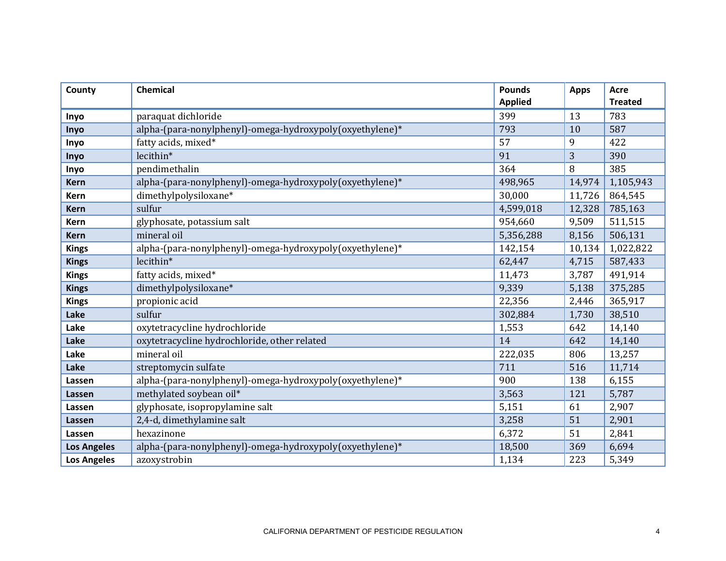| County             | <b>Chemical</b>                                          | <b>Pounds</b><br><b>Applied</b> | <b>Apps</b> | <b>Acre</b><br><b>Treated</b> |
|--------------------|----------------------------------------------------------|---------------------------------|-------------|-------------------------------|
|                    |                                                          | 399                             | 13          | 783                           |
| Inyo               | paraquat dichloride                                      |                                 |             |                               |
| Inyo               | alpha-(para-nonylphenyl)-omega-hydroxypoly(oxyethylene)* | 793                             | 10          | 587                           |
| Inyo               | fatty acids, mixed*                                      | 57                              | 9           | 422                           |
| Inyo               | lecithin*                                                | 91                              | 3           | 390                           |
| Inyo               | pendimethalin                                            | 364                             | 8           | 385                           |
| <b>Kern</b>        | alpha-(para-nonylphenyl)-omega-hydroxypoly(oxyethylene)* | 498,965                         | 14,974      | 1,105,943                     |
| <b>Kern</b>        | dimethylpolysiloxane*                                    | 30,000                          | 11,726      | 864,545                       |
| <b>Kern</b>        | sulfur                                                   | 4,599,018                       | 12,328      | 785,163                       |
| <b>Kern</b>        | glyphosate, potassium salt                               | 954,660                         | 9,509       | 511,515                       |
| <b>Kern</b>        | mineral oil                                              | 5,356,288                       | 8,156       | 506,131                       |
| <b>Kings</b>       | alpha-(para-nonylphenyl)-omega-hydroxypoly(oxyethylene)* | 142,154                         | 10,134      | 1,022,822                     |
| <b>Kings</b>       | lecithin*                                                | 62,447                          | 4,715       | 587,433                       |
| <b>Kings</b>       | fatty acids, mixed*                                      | 11,473                          | 3,787       | 491,914                       |
| <b>Kings</b>       | dimethylpolysiloxane*                                    | 9,339                           | 5,138       | 375,285                       |
| <b>Kings</b>       | propionic acid                                           | 22,356                          | 2,446       | 365,917                       |
| Lake               | sulfur                                                   | 302,884                         | 1,730       | 38,510                        |
| Lake               | oxytetracycline hydrochloride                            | 1,553                           | 642         | 14,140                        |
| Lake               | oxytetracycline hydrochloride, other related             | 14                              | 642         | 14,140                        |
| Lake               | mineral oil                                              | 222,035                         | 806         | 13,257                        |
| Lake               | streptomycin sulfate                                     | 711                             | 516         | 11,714                        |
| Lassen             | alpha-(para-nonylphenyl)-omega-hydroxypoly(oxyethylene)* | 900                             | 138         | 6,155                         |
| Lassen             | methylated soybean oil*                                  | 3,563                           | 121         | 5,787                         |
| Lassen             | glyphosate, isopropylamine salt                          | 5,151                           | 61          | 2,907                         |
| Lassen             | 2,4-d, dimethylamine salt                                | 3,258                           | 51          | 2,901                         |
| Lassen             | hexazinone                                               | 6,372                           | 51          | 2,841                         |
| <b>Los Angeles</b> | alpha-(para-nonylphenyl)-omega-hydroxypoly(oxyethylene)* | 18,500                          | 369         | 6,694                         |
| <b>Los Angeles</b> | azoxystrobin                                             | 1,134                           | 223         | 5,349                         |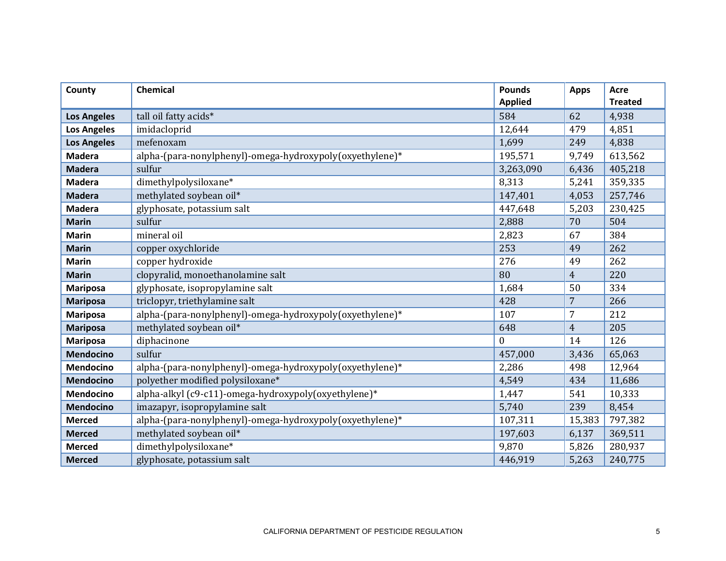| County             | <b>Chemical</b>                                          | <b>Pounds</b><br><b>Applied</b> | <b>Apps</b>    | <b>Acre</b><br><b>Treated</b> |
|--------------------|----------------------------------------------------------|---------------------------------|----------------|-------------------------------|
|                    |                                                          | 584                             | 62             | 4,938                         |
| <b>Los Angeles</b> | tall oil fatty acids*                                    |                                 | 479            |                               |
| <b>Los Angeles</b> | imidacloprid                                             | 12,644                          |                | 4,851                         |
| <b>Los Angeles</b> | mefenoxam                                                | 1,699                           | 249            | 4,838                         |
| <b>Madera</b>      | alpha-(para-nonylphenyl)-omega-hydroxypoly(oxyethylene)* | 195,571                         | 9,749          | 613,562                       |
| <b>Madera</b>      | sulfur                                                   | 3,263,090                       | 6,436          | 405,218                       |
| <b>Madera</b>      | dimethylpolysiloxane*                                    | 8,313                           | 5,241          | 359,335                       |
| <b>Madera</b>      | methylated soybean oil*                                  | 147,401                         | 4,053          | 257,746                       |
| <b>Madera</b>      | glyphosate, potassium salt                               | 447,648                         | 5,203          | 230,425                       |
| <b>Marin</b>       | sulfur                                                   | 2,888                           | 70             | 504                           |
| <b>Marin</b>       | mineral oil                                              | 2,823                           | 67             | 384                           |
| <b>Marin</b>       | copper oxychloride                                       | 253                             | 49             | 262                           |
| <b>Marin</b>       | copper hydroxide                                         | 276                             | 49             | 262                           |
| <b>Marin</b>       | clopyralid, monoethanolamine salt                        | 80                              | $\overline{4}$ | 220                           |
| <b>Mariposa</b>    | glyphosate, isopropylamine salt                          | 1,684                           | 50             | 334                           |
| <b>Mariposa</b>    | triclopyr, triethylamine salt                            | 428                             | 7              | 266                           |
| <b>Mariposa</b>    | alpha-(para-nonylphenyl)-omega-hydroxypoly(oxyethylene)* | 107                             | $\overline{7}$ | 212                           |
| <b>Mariposa</b>    | methylated soybean oil*                                  | 648                             | $\overline{4}$ | 205                           |
| <b>Mariposa</b>    | diphacinone                                              | $\Omega$                        | 14             | 126                           |
| <b>Mendocino</b>   | sulfur                                                   | 457,000                         | 3,436          | 65,063                        |
| <b>Mendocino</b>   | alpha-(para-nonylphenyl)-omega-hydroxypoly(oxyethylene)* | 2,286                           | 498            | 12,964                        |
| <b>Mendocino</b>   | polyether modified polysiloxane*                         | 4,549                           | 434            | 11,686                        |
| Mendocino          | alpha-alkyl (c9-c11)-omega-hydroxypoly(oxyethylene)*     | 1,447                           | 541            | 10,333                        |
| <b>Mendocino</b>   | imazapyr, isopropylamine salt                            | 5,740                           | 239            | 8,454                         |
| <b>Merced</b>      | alpha-(para-nonylphenyl)-omega-hydroxypoly(oxyethylene)* | 107,311                         | 15,383         | 797,382                       |
| <b>Merced</b>      | methylated soybean oil*                                  | 197,603                         | 6,137          | 369,511                       |
| <b>Merced</b>      | dimethylpolysiloxane*                                    | 9,870                           | 5,826          | 280,937                       |
| <b>Merced</b>      | glyphosate, potassium salt                               | 446,919                         | 5,263          | 240,775                       |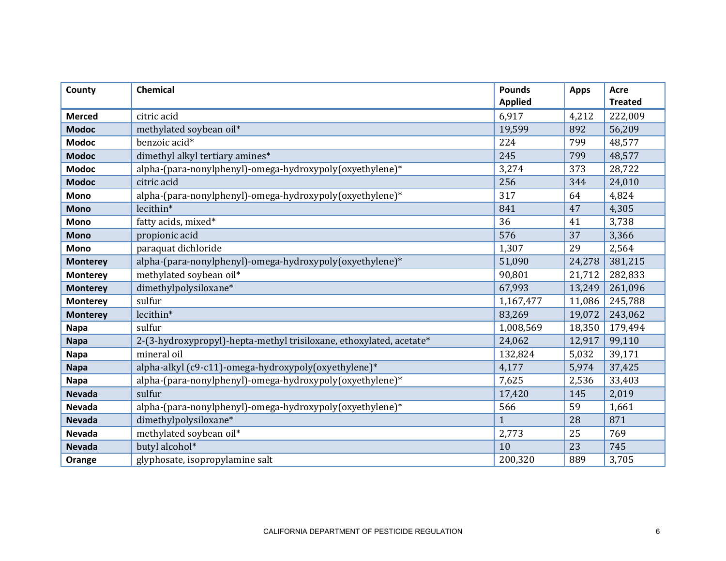| County          | <b>Chemical</b>                                                     | <b>Pounds</b>  | <b>Apps</b> | Acre           |
|-----------------|---------------------------------------------------------------------|----------------|-------------|----------------|
|                 |                                                                     | <b>Applied</b> |             | <b>Treated</b> |
| <b>Merced</b>   | citric acid                                                         | 6,917          | 4,212       | 222,009        |
| <b>Modoc</b>    | methylated soybean oil*                                             | 19,599         | 892         | 56,209         |
| <b>Modoc</b>    | benzoic acid*                                                       | 224            | 799         | 48,577         |
| <b>Modoc</b>    | dimethyl alkyl tertiary amines*                                     | 245            | 799         | 48,577         |
| <b>Modoc</b>    | alpha-(para-nonylphenyl)-omega-hydroxypoly(oxyethylene)*            | 3,274          | 373         | 28,722         |
| <b>Modoc</b>    | citric acid                                                         | 256            | 344         | 24,010         |
| Mono            | alpha-(para-nonylphenyl)-omega-hydroxypoly(oxyethylene)*            | 317            | 64          | 4,824          |
| <b>Mono</b>     | lecithin*                                                           | 841            | 47          | 4,305          |
| <b>Mono</b>     | fatty acids, mixed*                                                 | 36             | 41          | 3,738          |
| <b>Mono</b>     | propionic acid                                                      | 576            | 37          | 3,366          |
| <b>Mono</b>     | paraquat dichloride                                                 | 1,307          | 29          | 2,564          |
| <b>Monterey</b> | alpha-(para-nonylphenyl)-omega-hydroxypoly(oxyethylene)*            | 51,090         | 24,278      | 381,215        |
| <b>Monterey</b> | methylated soybean oil*                                             | 90,801         | 21,712      | 282,833        |
| <b>Monterey</b> | dimethylpolysiloxane*                                               | 67,993         | 13,249      | 261,096        |
| <b>Monterey</b> | sulfur                                                              | 1,167,477      | 11,086      | 245,788        |
| <b>Monterey</b> | lecithin*                                                           | 83,269         | 19,072      | 243,062        |
| <b>Napa</b>     | sulfur                                                              | 1,008,569      | 18,350      | 179,494        |
| <b>Napa</b>     | 2-(3-hydroxypropyl)-hepta-methyl trisiloxane, ethoxylated, acetate* | 24,062         | 12,917      | 99,110         |
| <b>Napa</b>     | mineral oil                                                         | 132,824        | 5,032       | 39,171         |
| <b>Napa</b>     | alpha-alkyl (c9-c11)-omega-hydroxypoly(oxyethylene)*                | 4,177          | 5,974       | 37,425         |
| <b>Napa</b>     | alpha-(para-nonylphenyl)-omega-hydroxypoly(oxyethylene)*            | 7,625          | 2,536       | 33,403         |
| <b>Nevada</b>   | sulfur                                                              | 17,420         | 145         | 2,019          |
| <b>Nevada</b>   | alpha-(para-nonylphenyl)-omega-hydroxypoly(oxyethylene)*            | 566            | 59          | 1,661          |
| <b>Nevada</b>   | dimethylpolysiloxane*                                               | $\mathbf{1}$   | 28          | 871            |
| Nevada          | methylated soybean oil*                                             | 2,773          | 25          | 769            |
| <b>Nevada</b>   | butyl alcohol*                                                      | 10             | 23          | 745            |
| Orange          | glyphosate, isopropylamine salt                                     | 200,320        | 889         | 3,705          |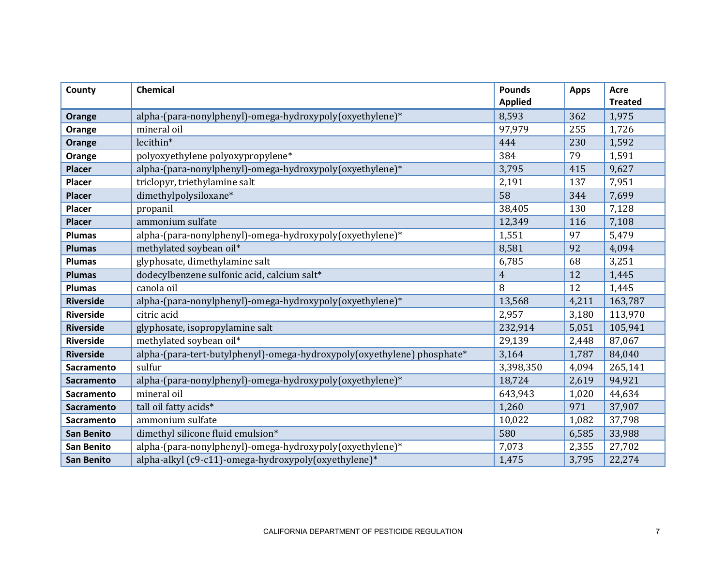| County            | <b>Chemical</b>                                                         | <b>Pounds</b><br><b>Applied</b> | <b>Apps</b> | <b>Acre</b><br><b>Treated</b> |
|-------------------|-------------------------------------------------------------------------|---------------------------------|-------------|-------------------------------|
| Orange            | alpha-(para-nonylphenyl)-omega-hydroxypoly(oxyethylene)*                | 8,593                           | 362         | 1,975                         |
| Orange            | mineral oil                                                             | 97,979                          | 255         | 1,726                         |
| Orange            | lecithin*                                                               | 444                             | 230         | 1,592                         |
| Orange            | polyoxyethylene polyoxypropylene*                                       | 384                             | 79          | 1,591                         |
| <b>Placer</b>     | alpha-(para-nonylphenyl)-omega-hydroxypoly(oxyethylene)*                | 3,795                           | 415         | 9,627                         |
| Placer            | triclopyr, triethylamine salt                                           | 2,191                           | 137         | 7,951                         |
| <b>Placer</b>     | dimethylpolysiloxane*                                                   | 58                              | 344         | 7,699                         |
| Placer            | propanil                                                                | 38,405                          | 130         | 7,128                         |
| <b>Placer</b>     | ammonium sulfate                                                        | 12,349                          | 116         | 7,108                         |
| <b>Plumas</b>     | alpha-(para-nonylphenyl)-omega-hydroxypoly(oxyethylene)*                | 1,551                           | 97          | 5,479                         |
| <b>Plumas</b>     | methylated soybean oil*                                                 | 8,581                           | 92          | 4,094                         |
| <b>Plumas</b>     | glyphosate, dimethylamine salt                                          | 6,785                           | 68          | 3,251                         |
| <b>Plumas</b>     | dodecylbenzene sulfonic acid, calcium salt*                             | $\overline{4}$                  | 12          | 1,445                         |
| <b>Plumas</b>     | canola oil                                                              | 8                               | 12          | 1,445                         |
| <b>Riverside</b>  | alpha-(para-nonylphenyl)-omega-hydroxypoly(oxyethylene)*                | 13,568                          | 4,211       | 163,787                       |
| <b>Riverside</b>  | citric acid                                                             | 2,957                           | 3,180       | 113,970                       |
| <b>Riverside</b>  | glyphosate, isopropylamine salt                                         | 232,914                         | 5,051       | 105,941                       |
| <b>Riverside</b>  | methylated soybean oil*                                                 | 29,139                          | 2,448       | 87,067                        |
| <b>Riverside</b>  | alpha-(para-tert-butylphenyl)-omega-hydroxypoly(oxyethylene) phosphate* | 3,164                           | 1,787       | 84,040                        |
| <b>Sacramento</b> | sulfur                                                                  | 3,398,350                       | 4,094       | 265,141                       |
| <b>Sacramento</b> | alpha-(para-nonylphenyl)-omega-hydroxypoly(oxyethylene)*                | 18,724                          | 2,619       | 94,921                        |
| Sacramento        | mineral oil                                                             | 643,943                         | 1,020       | 44,634                        |
| <b>Sacramento</b> | tall oil fatty acids*                                                   | 1,260                           | 971         | 37,907                        |
| Sacramento        | ammonium sulfate                                                        | 10,022                          | 1,082       | 37,798                        |
| <b>San Benito</b> | dimethyl silicone fluid emulsion*                                       | 580                             | 6,585       | 33,988                        |
| San Benito        | alpha-(para-nonylphenyl)-omega-hydroxypoly(oxyethylene)*                | 7,073                           | 2,355       | 27,702                        |
| <b>San Benito</b> | alpha-alkyl (c9-c11)-omega-hydroxypoly(oxyethylene)*                    | 1,475                           | 3,795       | 22,274                        |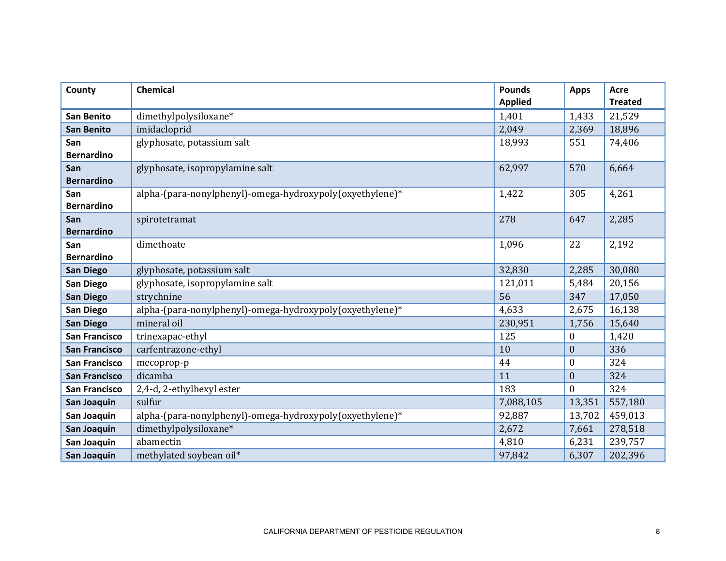| County                   | <b>Chemical</b>                                          | <b>Pounds</b><br><b>Applied</b> | <b>Apps</b>      | <b>Acre</b><br><b>Treated</b> |
|--------------------------|----------------------------------------------------------|---------------------------------|------------------|-------------------------------|
| <b>San Benito</b>        | dimethylpolysiloxane*                                    | 1,401                           | 1,433            | 21,529                        |
| <b>San Benito</b>        | imidacloprid                                             | 2,049                           | 2,369            | 18,896                        |
| San<br><b>Bernardino</b> | glyphosate, potassium salt                               | 18,993                          | 551              | 74,406                        |
| San<br><b>Bernardino</b> | glyphosate, isopropylamine salt                          | 62,997                          | 570              | 6,664                         |
| San<br><b>Bernardino</b> | alpha-(para-nonylphenyl)-omega-hydroxypoly(oxyethylene)* | 1,422                           | 305              | 4,261                         |
| San<br><b>Bernardino</b> | spirotetramat                                            | 278                             | 647              | 2,285                         |
| San<br><b>Bernardino</b> | dimethoate                                               | 1,096                           | 22               | 2,192                         |
| <b>San Diego</b>         | glyphosate, potassium salt                               | 32,830                          | 2,285            | 30,080                        |
| San Diego                | glyphosate, isopropylamine salt                          | 121,011                         | 5,484            | 20,156                        |
| <b>San Diego</b>         | strychnine                                               | 56                              | 347              | 17,050                        |
| San Diego                | alpha-(para-nonylphenyl)-omega-hydroxypoly(oxyethylene)* | 4,633                           | 2,675            | 16,138                        |
| <b>San Diego</b>         | mineral oil                                              | 230,951                         | 1,756            | 15,640                        |
| <b>San Francisco</b>     | trinexapac-ethyl                                         | 125                             | $\boldsymbol{0}$ | 1,420                         |
| <b>San Francisco</b>     | carfentrazone-ethyl                                      | 10                              | $\boldsymbol{0}$ | 336                           |
| <b>San Francisco</b>     | mecoprop-p                                               | 44                              | $\theta$         | 324                           |
| <b>San Francisco</b>     | dicamba                                                  | 11                              | $\mathbf{0}$     | 324                           |
| <b>San Francisco</b>     | 2,4-d, 2-ethylhexyl ester                                | 183                             | $\mathbf{0}$     | 324                           |
| San Joaquin              | sulfur                                                   | 7,088,105                       | 13,351           | 557,180                       |
| San Joaquin              | alpha-(para-nonylphenyl)-omega-hydroxypoly(oxyethylene)* | 92,887                          | 13,702           | 459,013                       |
| San Joaquin              | dimethylpolysiloxane*                                    | 2,672                           | 7,661            | 278,518                       |
| San Joaquin              | abamectin                                                | 4,810                           | 6,231            | 239,757                       |
| San Joaquin              | methylated soybean oil*                                  | 97,842                          | 6,307            | 202,396                       |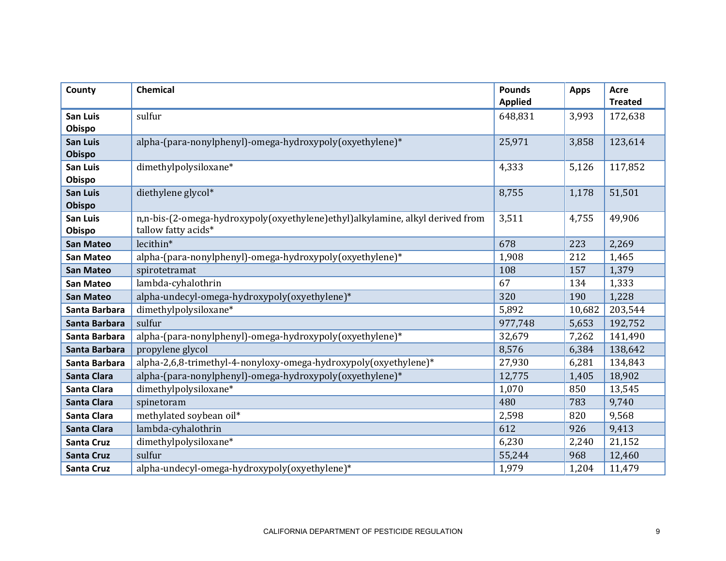| County                    | <b>Chemical</b>                                                                                      | <b>Pounds</b><br><b>Applied</b> | <b>Apps</b> | <b>Acre</b><br><b>Treated</b> |
|---------------------------|------------------------------------------------------------------------------------------------------|---------------------------------|-------------|-------------------------------|
| <b>San Luis</b><br>Obispo | sulfur                                                                                               | 648,831                         | 3,993       | 172,638                       |
| <b>San Luis</b><br>Obispo | alpha-(para-nonylphenyl)-omega-hydroxypoly(oxyethylene)*                                             | 25,971                          | 3,858       | 123,614                       |
| <b>San Luis</b><br>Obispo | dimethylpolysiloxane*                                                                                | 4,333                           | 5,126       | 117,852                       |
| San Luis<br><b>Obispo</b> | diethylene glycol*                                                                                   | 8,755                           | 1,178       | 51,501                        |
| San Luis<br>Obispo        | n,n-bis-(2-omega-hydroxypoly(oxyethylene)ethyl)alkylamine, alkyl derived from<br>tallow fatty acids* | 3,511                           | 4,755       | 49,906                        |
| <b>San Mateo</b>          | lecithin*                                                                                            | 678                             | 223         | 2,269                         |
| <b>San Mateo</b>          | alpha-(para-nonylphenyl)-omega-hydroxypoly(oxyethylene)*                                             | 1,908                           | 212         | 1,465                         |
| <b>San Mateo</b>          | spirotetramat                                                                                        | 108                             | 157         | 1,379                         |
| <b>San Mateo</b>          | lambda-cyhalothrin                                                                                   | 67                              | 134         | 1,333                         |
| <b>San Mateo</b>          | alpha-undecyl-omega-hydroxypoly(oxyethylene)*                                                        | 320                             | 190         | 1,228                         |
| Santa Barbara             | dimethylpolysiloxane*                                                                                | 5,892                           | 10,682      | 203,544                       |
| Santa Barbara             | sulfur                                                                                               | 977,748                         | 5,653       | 192,752                       |
| Santa Barbara             | alpha-(para-nonylphenyl)-omega-hydroxypoly(oxyethylene)*                                             | 32,679                          | 7,262       | 141,490                       |
| Santa Barbara             | propylene glycol                                                                                     | 8,576                           | 6,384       | 138,642                       |
| Santa Barbara             | alpha-2,6,8-trimethyl-4-nonyloxy-omega-hydroxypoly(oxyethylene)*                                     | 27,930                          | 6,281       | 134,843                       |
| <b>Santa Clara</b>        | alpha-(para-nonylphenyl)-omega-hydroxypoly(oxyethylene)*                                             | 12,775                          | 1,405       | 18,902                        |
| Santa Clara               | dimethylpolysiloxane*                                                                                | 1,070                           | 850         | 13,545                        |
| <b>Santa Clara</b>        | spinetoram                                                                                           | 480                             | 783         | 9,740                         |
| Santa Clara               | methylated soybean oil*                                                                              | 2,598                           | 820         | 9,568                         |
| <b>Santa Clara</b>        | lambda-cyhalothrin                                                                                   | 612                             | 926         | 9,413                         |
| <b>Santa Cruz</b>         | dimethylpolysiloxane*                                                                                | 6,230                           | 2,240       | 21,152                        |
| <b>Santa Cruz</b>         | sulfur                                                                                               | 55,244                          | 968         | 12,460                        |
| <b>Santa Cruz</b>         | alpha-undecyl-omega-hydroxypoly(oxyethylene)*                                                        | 1,979                           | 1,204       | 11,479                        |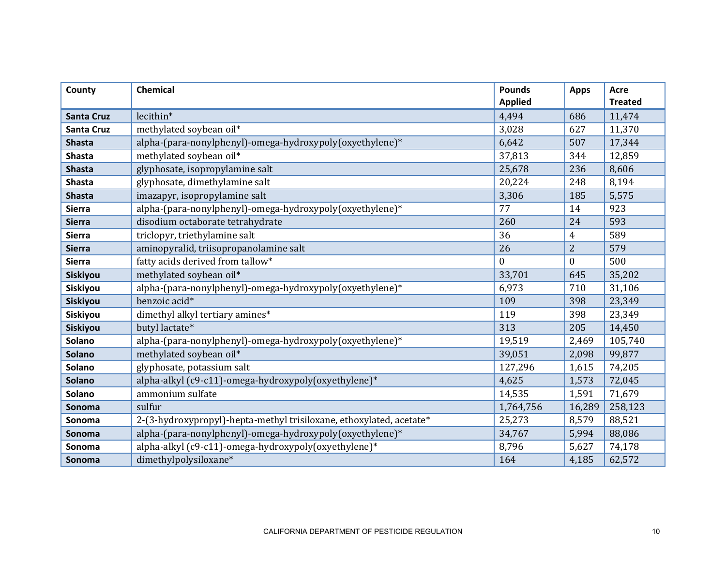| County            | <b>Chemical</b>                                                     | <b>Pounds</b><br><b>Applied</b> | <b>Apps</b>      | <b>Acre</b><br><b>Treated</b> |
|-------------------|---------------------------------------------------------------------|---------------------------------|------------------|-------------------------------|
|                   |                                                                     |                                 |                  |                               |
| <b>Santa Cruz</b> | lecithin*                                                           | 4,494                           | 686              | 11,474                        |
| <b>Santa Cruz</b> | methylated soybean oil*                                             | 3,028                           | 627              | 11,370                        |
| <b>Shasta</b>     | alpha-(para-nonylphenyl)-omega-hydroxypoly(oxyethylene)*            | 6,642                           | 507              | 17,344                        |
| <b>Shasta</b>     | methylated soybean oil*                                             | 37,813                          | 344              | 12,859                        |
| <b>Shasta</b>     | glyphosate, isopropylamine salt                                     | 25,678                          | 236              | 8,606                         |
| <b>Shasta</b>     | glyphosate, dimethylamine salt                                      | 20,224                          | 248              | 8,194                         |
| <b>Shasta</b>     | imazapyr, isopropylamine salt                                       | 3,306                           | 185              | 5,575                         |
| <b>Sierra</b>     | alpha-(para-nonylphenyl)-omega-hydroxypoly(oxyethylene)*            | 77                              | 14               | 923                           |
| <b>Sierra</b>     | disodium octaborate tetrahydrate                                    | 260                             | 24               | 593                           |
| <b>Sierra</b>     | triclopyr, triethylamine salt                                       | 36                              | $\overline{4}$   | 589                           |
| <b>Sierra</b>     | aminopyralid, triisopropanolamine salt                              | 26                              | $\overline{2}$   | 579                           |
| <b>Sierra</b>     | fatty acids derived from tallow*                                    | $\theta$                        | $\boldsymbol{0}$ | 500                           |
| Siskiyou          | methylated soybean oil*                                             | 33,701                          | 645              | 35,202                        |
| Siskiyou          | alpha-(para-nonylphenyl)-omega-hydroxypoly(oxyethylene)*            | 6,973                           | 710              | 31,106                        |
| Siskiyou          | benzoic acid*                                                       | 109                             | 398              | 23,349                        |
| Siskiyou          | dimethyl alkyl tertiary amines*                                     | 119                             | 398              | 23,349                        |
| Siskiyou          | butyl lactate*                                                      | 313                             | 205              | 14,450                        |
| Solano            | alpha-(para-nonylphenyl)-omega-hydroxypoly(oxyethylene)*            | 19,519                          | 2,469            | 105,740                       |
| Solano            | methylated soybean oil*                                             | 39,051                          | 2,098            | 99,877                        |
| Solano            | glyphosate, potassium salt                                          | 127,296                         | 1,615            | 74,205                        |
| <b>Solano</b>     | alpha-alkyl (c9-c11)-omega-hydroxypoly(oxyethylene)*                | 4,625                           | 1,573            | 72,045                        |
| Solano            | ammonium sulfate                                                    | 14,535                          | 1,591            | 71,679                        |
| Sonoma            | sulfur                                                              | 1,764,756                       | 16,289           | 258,123                       |
| Sonoma            | 2-(3-hydroxypropyl)-hepta-methyl trisiloxane, ethoxylated, acetate* | 25,273                          | 8,579            | 88,521                        |
| Sonoma            | alpha-(para-nonylphenyl)-omega-hydroxypoly(oxyethylene)*            | 34,767                          | 5,994            | 88,086                        |
| Sonoma            | alpha-alkyl (c9-c11)-omega-hydroxypoly(oxyethylene)*                | 8,796                           | 5,627            | 74,178                        |
| Sonoma            | dimethylpolysiloxane*                                               | 164                             | 4,185            | 62,572                        |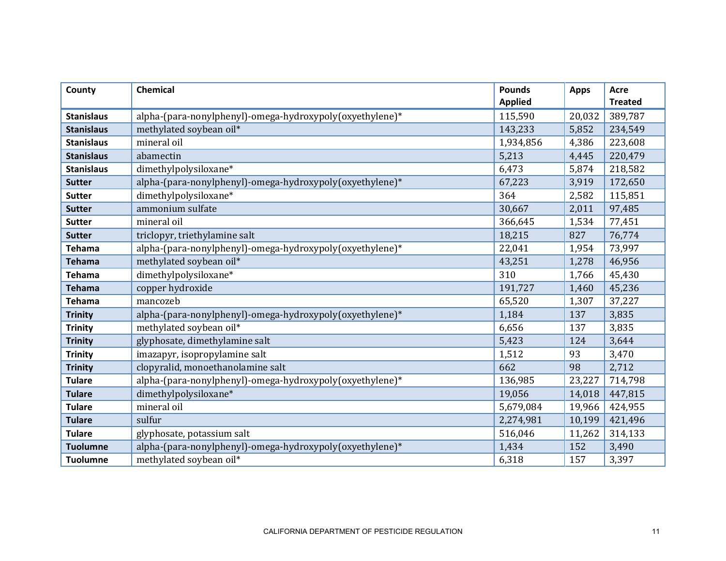| County            | <b>Chemical</b>                                          | <b>Pounds</b><br><b>Applied</b> | <b>Apps</b> | <b>Acre</b><br><b>Treated</b> |
|-------------------|----------------------------------------------------------|---------------------------------|-------------|-------------------------------|
| <b>Stanislaus</b> | alpha-(para-nonylphenyl)-omega-hydroxypoly(oxyethylene)* | 115,590                         | 20,032      | 389,787                       |
| <b>Stanislaus</b> | methylated soybean oil*                                  | 143,233                         | 5,852       | 234,549                       |
| <b>Stanislaus</b> | mineral oil                                              | 1,934,856                       | 4,386       | 223,608                       |
| <b>Stanislaus</b> | abamectin                                                | 5,213                           | 4,445       | 220,479                       |
| <b>Stanislaus</b> | dimethylpolysiloxane*                                    | 6,473                           | 5,874       | 218,582                       |
| <b>Sutter</b>     | alpha-(para-nonylphenyl)-omega-hydroxypoly(oxyethylene)* | 67,223                          | 3,919       | 172,650                       |
| <b>Sutter</b>     | dimethylpolysiloxane*                                    | 364                             | 2,582       | 115,851                       |
| <b>Sutter</b>     | ammonium sulfate                                         | 30,667                          | 2,011       | 97,485                        |
| <b>Sutter</b>     | mineral oil                                              | 366,645                         | 1,534       | 77,451                        |
| <b>Sutter</b>     | triclopyr, triethylamine salt                            | 18,215                          | 827         | 76,774                        |
| <b>Tehama</b>     | alpha-(para-nonylphenyl)-omega-hydroxypoly(oxyethylene)* | 22,041                          | 1,954       | 73,997                        |
| <b>Tehama</b>     | methylated soybean oil*                                  | 43,251                          | 1,278       | 46,956                        |
| <b>Tehama</b>     | dimethylpolysiloxane*                                    | 310                             | 1,766       | 45,430                        |
| <b>Tehama</b>     | copper hydroxide                                         | 191,727                         | 1,460       | 45,236                        |
| <b>Tehama</b>     | mancozeb                                                 | 65,520                          | 1,307       | 37,227                        |
| <b>Trinity</b>    | alpha-(para-nonylphenyl)-omega-hydroxypoly(oxyethylene)* | 1,184                           | 137         | 3,835                         |
| <b>Trinity</b>    | methylated soybean oil*                                  | 6,656                           | 137         | 3,835                         |
| <b>Trinity</b>    | glyphosate, dimethylamine salt                           | 5,423                           | 124         | 3,644                         |
| <b>Trinity</b>    | imazapyr, isopropylamine salt                            | 1,512                           | 93          | 3,470                         |
| <b>Trinity</b>    | clopyralid, monoethanolamine salt                        | 662                             | 98          | 2,712                         |
| <b>Tulare</b>     | alpha-(para-nonylphenyl)-omega-hydroxypoly(oxyethylene)* | 136,985                         | 23,227      | 714,798                       |
| <b>Tulare</b>     | dimethylpolysiloxane*                                    | 19,056                          | 14,018      | 447,815                       |
| <b>Tulare</b>     | mineral oil                                              | 5,679,084                       | 19,966      | 424,955                       |
| <b>Tulare</b>     | sulfur                                                   | 2,274,981                       | 10,199      | 421,496                       |
| <b>Tulare</b>     | glyphosate, potassium salt                               | 516,046                         | 11,262      | 314,133                       |
| <b>Tuolumne</b>   | alpha-(para-nonylphenyl)-omega-hydroxypoly(oxyethylene)* | 1,434                           | 152         | 3,490                         |
| <b>Tuolumne</b>   | methylated soybean oil*                                  | 6,318                           | 157         | 3,397                         |